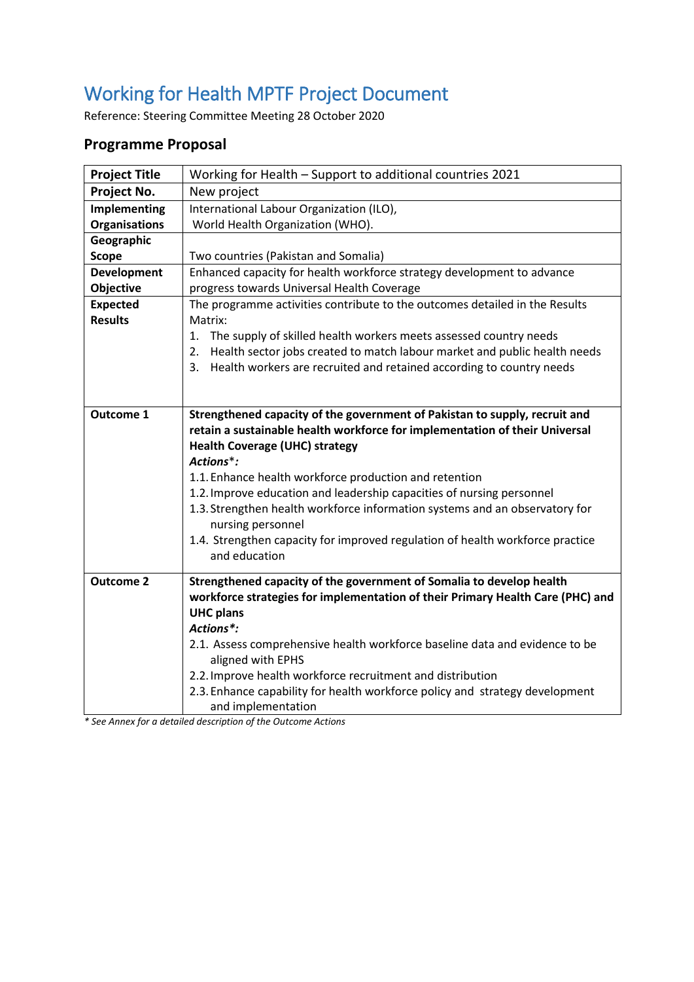# Working for Health MPTF Project Document

Reference: Steering Committee Meeting 28 October 2020

### **Programme Proposal**

| <b>Project Title</b> | Working for Health - Support to additional countries 2021                                      |  |  |
|----------------------|------------------------------------------------------------------------------------------------|--|--|
| Project No.          | New project                                                                                    |  |  |
| Implementing         | International Labour Organization (ILO),                                                       |  |  |
| <b>Organisations</b> | World Health Organization (WHO).                                                               |  |  |
| Geographic           |                                                                                                |  |  |
| <b>Scope</b>         | Two countries (Pakistan and Somalia)                                                           |  |  |
| <b>Development</b>   | Enhanced capacity for health workforce strategy development to advance                         |  |  |
| Objective            | progress towards Universal Health Coverage                                                     |  |  |
| <b>Expected</b>      | The programme activities contribute to the outcomes detailed in the Results                    |  |  |
| <b>Results</b>       | Matrix:                                                                                        |  |  |
|                      | 1. The supply of skilled health workers meets assessed country needs                           |  |  |
|                      | Health sector jobs created to match labour market and public health needs<br>2.                |  |  |
|                      | 3. Health workers are recruited and retained according to country needs                        |  |  |
|                      |                                                                                                |  |  |
|                      |                                                                                                |  |  |
| <b>Outcome 1</b>     | Strengthened capacity of the government of Pakistan to supply, recruit and                     |  |  |
|                      | retain a sustainable health workforce for implementation of their Universal                    |  |  |
|                      | <b>Health Coverage (UHC) strategy</b>                                                          |  |  |
|                      | Actions*:                                                                                      |  |  |
|                      | 1.1. Enhance health workforce production and retention                                         |  |  |
|                      | 1.2. Improve education and leadership capacities of nursing personnel                          |  |  |
|                      | 1.3. Strengthen health workforce information systems and an observatory for                    |  |  |
|                      | nursing personnel                                                                              |  |  |
|                      | 1.4. Strengthen capacity for improved regulation of health workforce practice<br>and education |  |  |
|                      |                                                                                                |  |  |
| <b>Outcome 2</b>     | Strengthened capacity of the government of Somalia to develop health                           |  |  |
|                      | workforce strategies for implementation of their Primary Health Care (PHC) and                 |  |  |
|                      | <b>UHC plans</b>                                                                               |  |  |
|                      | Actions*:                                                                                      |  |  |
|                      | 2.1. Assess comprehensive health workforce baseline data and evidence to be                    |  |  |
|                      | aligned with EPHS                                                                              |  |  |
|                      | 2.2. Improve health workforce recruitment and distribution                                     |  |  |
|                      | 2.3. Enhance capability for health workforce policy and strategy development                   |  |  |
|                      | and implementation                                                                             |  |  |

*\* See Annex for a detailed description of the Outcome Actions*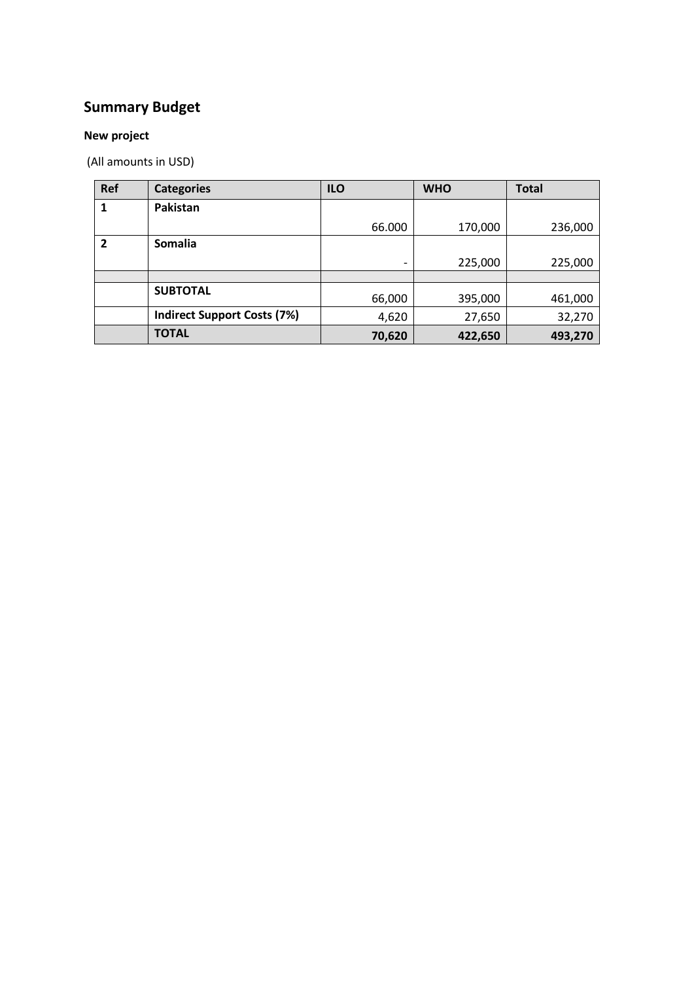## **Summary Budget**

#### **New project**

(All amounts in USD)

| <b>Ref</b> | <b>Categories</b>                  | <b>ILO</b>               | <b>WHO</b> | <b>Total</b> |
|------------|------------------------------------|--------------------------|------------|--------------|
|            | Pakistan                           |                          |            |              |
|            |                                    | 66.000                   | 170,000    | 236,000      |
| 2          | Somalia                            |                          |            |              |
|            |                                    | $\overline{\phantom{a}}$ | 225,000    | 225,000      |
|            |                                    |                          |            |              |
|            | <b>SUBTOTAL</b>                    | 66,000                   | 395,000    | 461,000      |
|            | <b>Indirect Support Costs (7%)</b> | 4,620                    | 27,650     | 32,270       |
|            | <b>TOTAL</b>                       | 70,620                   | 422,650    | 493,270      |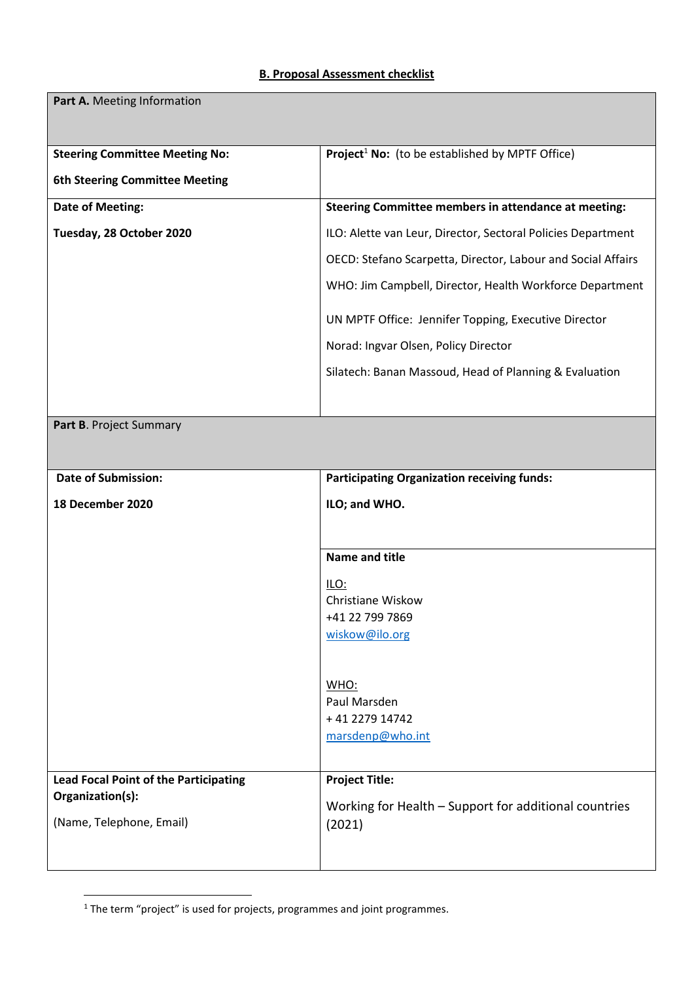#### **B. Proposal Assessment checklist**

| Part A. Meeting Information                  |                                                              |  |  |
|----------------------------------------------|--------------------------------------------------------------|--|--|
| <b>Steering Committee Meeting No:</b>        | Project <sup>1</sup> No: (to be established by MPTF Office)  |  |  |
| <b>6th Steering Committee Meeting</b>        |                                                              |  |  |
| Date of Meeting:                             | Steering Committee members in attendance at meeting:         |  |  |
| Tuesday, 28 October 2020                     | ILO: Alette van Leur, Director, Sectoral Policies Department |  |  |
|                                              | OECD: Stefano Scarpetta, Director, Labour and Social Affairs |  |  |
|                                              | WHO: Jim Campbell, Director, Health Workforce Department     |  |  |
|                                              | UN MPTF Office: Jennifer Topping, Executive Director         |  |  |
|                                              | Norad: Ingvar Olsen, Policy Director                         |  |  |
|                                              | Silatech: Banan Massoud, Head of Planning & Evaluation       |  |  |
|                                              |                                                              |  |  |
| Part B. Project Summary                      |                                                              |  |  |
|                                              |                                                              |  |  |
| <b>Date of Submission:</b>                   | <b>Participating Organization receiving funds:</b>           |  |  |
| 18 December 2020                             | ILO; and WHO.                                                |  |  |
|                                              |                                                              |  |  |
|                                              | <b>Name and title</b>                                        |  |  |
|                                              | ILO:                                                         |  |  |
|                                              | Christiane Wiskow                                            |  |  |
|                                              | +41 22 799 7869                                              |  |  |
|                                              | wiskow@ilo.org                                               |  |  |
|                                              | <b>WHO:</b>                                                  |  |  |
|                                              | Paul Marsden                                                 |  |  |
|                                              | +41 2279 14742                                               |  |  |
|                                              | marsdenp@who.int                                             |  |  |
|                                              |                                                              |  |  |
| <b>Lead Focal Point of the Participating</b> | <b>Project Title:</b>                                        |  |  |
| Organization(s):                             | Working for Health - Support for additional countries        |  |  |
| (Name, Telephone, Email)                     | (2021)                                                       |  |  |
|                                              |                                                              |  |  |

 $<sup>1</sup>$  The term "project" is used for projects, programmes and joint programmes.</sup>

**.**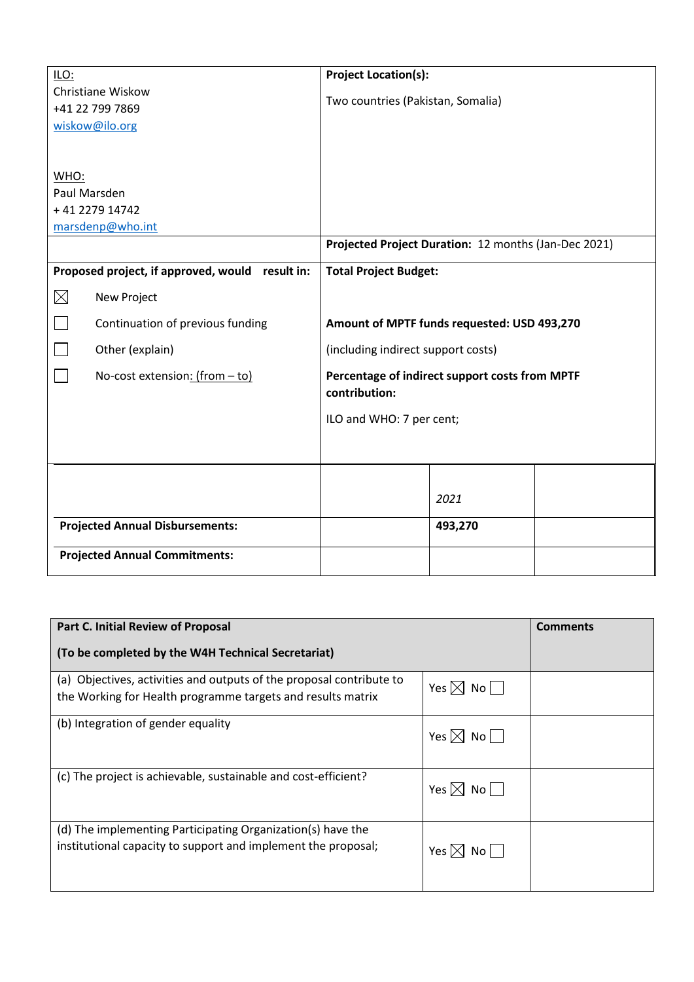| ILO:                                            | <b>Project Location(s):</b>                                     |  |  |
|-------------------------------------------------|-----------------------------------------------------------------|--|--|
| Christiane Wiskow                               | Two countries (Pakistan, Somalia)                               |  |  |
| +41 22 799 7869                                 |                                                                 |  |  |
| wiskow@ilo.org                                  |                                                                 |  |  |
|                                                 |                                                                 |  |  |
| WHO:                                            |                                                                 |  |  |
| Paul Marsden                                    |                                                                 |  |  |
| +41 2279 14742                                  |                                                                 |  |  |
| marsdenp@who.int                                |                                                                 |  |  |
|                                                 | Projected Project Duration: 12 months (Jan-Dec 2021)            |  |  |
| Proposed project, if approved, would result in: | <b>Total Project Budget:</b>                                    |  |  |
| $\times$<br>New Project                         |                                                                 |  |  |
| Continuation of previous funding                | Amount of MPTF funds requested: USD 493,270                     |  |  |
| Other (explain)                                 | (including indirect support costs)                              |  |  |
| No-cost extension: (from - to)                  | Percentage of indirect support costs from MPTF<br>contribution: |  |  |
|                                                 | ILO and WHO: 7 per cent;                                        |  |  |
|                                                 |                                                                 |  |  |
|                                                 |                                                                 |  |  |
|                                                 |                                                                 |  |  |
|                                                 | 2021                                                            |  |  |
| <b>Projected Annual Disbursements:</b>          | 493,270                                                         |  |  |
|                                                 |                                                                 |  |  |
| <b>Projected Annual Commitments:</b>            |                                                                 |  |  |

| Part C. Initial Review of Proposal                                                                                                  | <b>Comments</b>           |  |
|-------------------------------------------------------------------------------------------------------------------------------------|---------------------------|--|
| (To be completed by the W4H Technical Secretariat)                                                                                  |                           |  |
| (a) Objectives, activities and outputs of the proposal contribute to<br>the Working for Health programme targets and results matrix | Yes $\boxtimes$ No $\Box$ |  |
| (b) Integration of gender equality                                                                                                  | Yes $\boxtimes$ No $\Box$ |  |
| (c) The project is achievable, sustainable and cost-efficient?                                                                      | Yes $\boxtimes$ No $\Box$ |  |
| (d) The implementing Participating Organization(s) have the<br>institutional capacity to support and implement the proposal;        | Yes $\boxtimes$ No $\Box$ |  |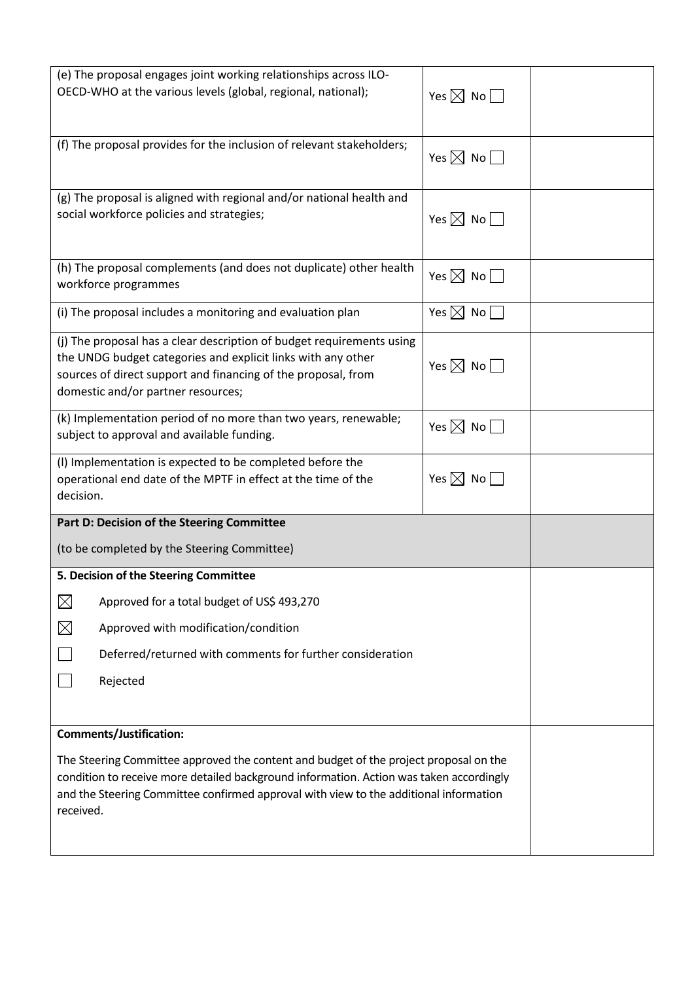| (e) The proposal engages joint working relationships across ILO-<br>OECD-WHO at the various levels (global, regional, national);                                                                                                                                                                                         | Yes $\boxtimes$ No $\Box$    |  |  |
|--------------------------------------------------------------------------------------------------------------------------------------------------------------------------------------------------------------------------------------------------------------------------------------------------------------------------|------------------------------|--|--|
|                                                                                                                                                                                                                                                                                                                          |                              |  |  |
| (f) The proposal provides for the inclusion of relevant stakeholders;                                                                                                                                                                                                                                                    | Yes $\boxtimes$ No $\Box$    |  |  |
| (g) The proposal is aligned with regional and/or national health and<br>social workforce policies and strategies;                                                                                                                                                                                                        | Yes $\boxtimes$ No $\Box$    |  |  |
| (h) The proposal complements (and does not duplicate) other health<br>workforce programmes                                                                                                                                                                                                                               | Yes $\boxtimes$ No $\square$ |  |  |
| (i) The proposal includes a monitoring and evaluation plan                                                                                                                                                                                                                                                               | Yes $\boxtimes$ No $\Box$    |  |  |
| (i) The proposal has a clear description of budget requirements using<br>the UNDG budget categories and explicit links with any other<br>sources of direct support and financing of the proposal, from<br>domestic and/or partner resources;                                                                             | Yes $\boxtimes$ No $\Box$    |  |  |
| (k) Implementation period of no more than two years, renewable;<br>subject to approval and available funding.                                                                                                                                                                                                            | Yes $\boxtimes$ No $\Box$    |  |  |
| (I) Implementation is expected to be completed before the<br>operational end date of the MPTF in effect at the time of the<br>decision.                                                                                                                                                                                  | Yes $\boxtimes$ No $\Box$    |  |  |
| Part D: Decision of the Steering Committee                                                                                                                                                                                                                                                                               |                              |  |  |
| (to be completed by the Steering Committee)                                                                                                                                                                                                                                                                              |                              |  |  |
| 5. Decision of the Steering Committee                                                                                                                                                                                                                                                                                    |                              |  |  |
| $\boxtimes$<br>Approved for a total budget of US\$ 493,270                                                                                                                                                                                                                                                               |                              |  |  |
| $\boxtimes$<br>Approved with modification/condition                                                                                                                                                                                                                                                                      |                              |  |  |
| Deferred/returned with comments for further consideration                                                                                                                                                                                                                                                                |                              |  |  |
| Rejected                                                                                                                                                                                                                                                                                                                 |                              |  |  |
|                                                                                                                                                                                                                                                                                                                          |                              |  |  |
| <b>Comments/Justification:</b><br>The Steering Committee approved the content and budget of the project proposal on the<br>condition to receive more detailed background information. Action was taken accordingly<br>and the Steering Committee confirmed approval with view to the additional information<br>received. |                              |  |  |
|                                                                                                                                                                                                                                                                                                                          |                              |  |  |